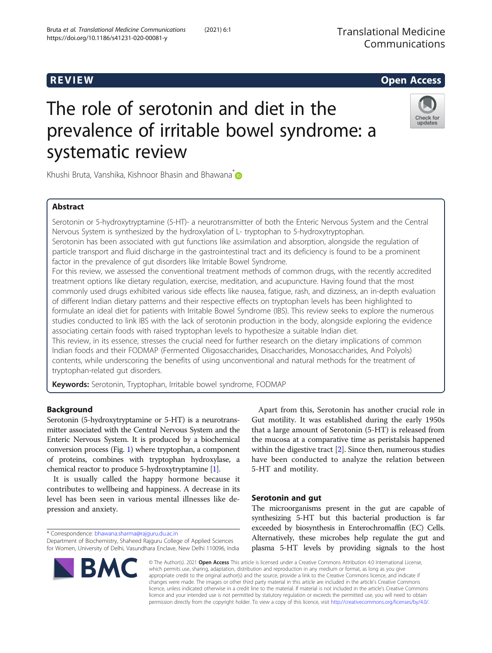# R EVI EW Open Access

# The role of serotonin and diet in the prevalence of irritable bowel syndrome: a systematic review



Khushi Bruta, Vanshika, Kishnoor Bhasin and Bhawana<sup>[\\*](http://orcid.org/0000-0003-0827-4682)</sup>

# Abstract

Serotonin or 5-hydroxytryptamine (5-HT)- a neurotransmitter of both the Enteric Nervous System and the Central Nervous System is synthesized by the hydroxylation of L- tryptophan to 5-hydroxytryptophan. Serotonin has been associated with gut functions like assimilation and absorption, alongside the regulation of particle transport and fluid discharge in the gastrointestinal tract and its deficiency is found to be a prominent factor in the prevalence of gut disorders like Irritable Bowel Syndrome.

For this review, we assessed the conventional treatment methods of common drugs, with the recently accredited treatment options like dietary regulation, exercise, meditation, and acupuncture. Having found that the most commonly used drugs exhibited various side effects like nausea, fatigue, rash, and dizziness, an in-depth evaluation of different Indian dietary patterns and their respective effects on tryptophan levels has been highlighted to formulate an ideal diet for patients with Irritable Bowel Syndrome (IBS). This review seeks to explore the numerous studies conducted to link IBS with the lack of serotonin production in the body, alongside exploring the evidence associating certain foods with raised tryptophan levels to hypothesize a suitable Indian diet.

This review, in its essence, stresses the crucial need for further research on the dietary implications of common Indian foods and their FODMAP (Fermented Oligosaccharides, Disaccharides, Monosaccharides, And Polyols) contents, while underscoring the benefits of using unconventional and natural methods for the treatment of tryptophan-related gut disorders.

**Keywords:** Serotonin, Tryptophan, Irritable bowel syndrome, FODMAP

# Background

Serotonin (5-hydroxytryptamine or 5-HT) is a neurotransmitter associated with the Central Nervous System and the Enteric Nervous System. It is produced by a biochemical conversion process (Fig. [1](#page-1-0)) where tryptophan, a component of proteins, combines with tryptophan hydroxylase, a chemical reactor to produce 5-hydroxytryptamine [\[1](#page-7-0)].

It is usually called the happy hormone because it contributes to wellbeing and happiness. A decrease in its level has been seen in various mental illnesses like depression and anxiety.

\* Correspondence: [bhawana.sharma@rajguru.du.ac.in](mailto:bhawana.sharma@rajguru.du.ac.in)

Department of Biochemistry, Shaheed Rajguru College of Applied Sciences for Women, University of Delhi, Vasundhara Enclave, New Delhi 110096, India



Apart from this, Serotonin has another crucial role in Gut motility. It was established during the early 1950s that a large amount of Serotonin (5-HT) is released from the mucosa at a comparative time as peristalsis happened within the digestive tract [[2\]](#page-7-0). Since then, numerous studies have been conducted to analyze the relation between 5-HT and motility.

# Serotonin and gut

The microorganisms present in the gut are capable of synthesizing 5-HT but this bacterial production is far exceeded by biosynthesis in Enterochromaffin (EC) Cells. Alternatively, these microbes help regulate the gut and plasma 5-HT levels by providing signals to the host

© The Author(s). 2021 Open Access This article is licensed under a Creative Commons Attribution 4.0 International License, which permits use, sharing, adaptation, distribution and reproduction in any medium or format, as long as you give appropriate credit to the original author(s) and the source, provide a link to the Creative Commons licence, and indicate if changes were made. The images or other third party material in this article are included in the article's Creative Commons licence, unless indicated otherwise in a credit line to the material. If material is not included in the article's Creative Commons licence and your intended use is not permitted by statutory regulation or exceeds the permitted use, you will need to obtain permission directly from the copyright holder. To view a copy of this licence, visit [http://creativecommons.org/licenses/by/4.0/.](http://creativecommons.org/licenses/by/4.0/)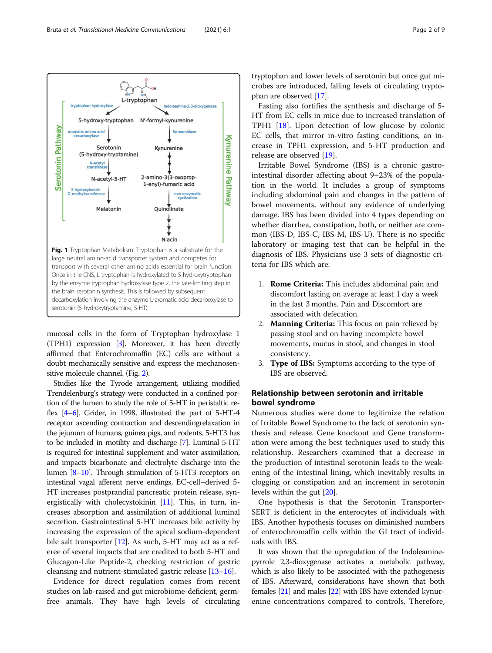<span id="page-1-0"></span>

mucosal cells in the form of Tryptophan hydroxylase 1 (TPH1) expression [\[3\]](#page-7-0). Moreover, it has been directly affirmed that Enterochromaffin (EC) cells are without a doubt mechanically sensitive and express the mechanosensitive molecule channel. (Fig. [2](#page-2-0)).

Studies like the Tyrode arrangement, utilizing modified Trendelenburg's strategy were conducted in a confined portion of the lumen to study the role of 5-HT in peristaltic reflex [[4](#page-7-0)–[6\]](#page-7-0). Grider, in 1998, illustrated the part of 5-HT-4 receptor ascending contraction and descendingrelaxation in the jejunum of humans, guinea pigs, and rodents. 5-HT3 has to be included in motility and discharge [\[7](#page-7-0)]. Luminal 5-HT is required for intestinal supplement and water assimilation, and impacts bicarbonate and electrolyte discharge into the lumen [\[8](#page-7-0)–[10](#page-7-0)]. Through stimulation of 5-HT3 receptors on intestinal vagal afferent nerve endings, EC-cell–derived 5- HT increases postprandial pancreatic protein release, synergistically with cholecystokinin [[11\]](#page-7-0). This, in turn, increases absorption and assimilation of additional luminal secretion. Gastrointestinal 5-HT increases bile activity by increasing the expression of the apical sodium-dependent bile salt transporter [\[12\]](#page-7-0). As such, 5-HT may act as a referee of several impacts that are credited to both 5-HT and Glucagon-Like Peptide-2, checking restriction of gastric cleansing and nutrient-stimulated gastric release [\[13](#page-7-0)–[16](#page-7-0)].

Evidence for direct regulation comes from recent studies on lab-raised and gut microbiome-deficient, germfree animals. They have high levels of circulating tryptophan and lower levels of serotonin but once gut microbes are introduced, falling levels of circulating tryptophan are observed [\[17](#page-7-0)].

Fasting also fortifies the synthesis and discharge of 5- HT from EC cells in mice due to increased translation of TPH1 [\[18](#page-7-0)]. Upon detection of low glucose by colonic EC cells, that mirror in-vitro fasting conditions, an increase in TPH1 expression, and 5-HT production and release are observed [[19\]](#page-7-0).

Irritable Bowel Syndrome (IBS) is a chronic gastrointestinal disorder affecting about 9–23% of the population in the world. It includes a group of symptoms including abdominal pain and changes in the pattern of bowel movements, without any evidence of underlying damage. IBS has been divided into 4 types depending on whether diarrhea, constipation, both, or neither are common (IBS-D, IBS-C, IBS-M, IBS-U). There is no specific laboratory or imaging test that can be helpful in the diagnosis of IBS. Physicians use 3 sets of diagnostic criteria for IBS which are:

- 1. Rome Criteria: This includes abdominal pain and discomfort lasting on average at least 1 day a week in the last 3 months. Pain and Discomfort are associated with defecation.
- 2. Manning Criteria: This focus on pain relieved by passing stool and on having incomplete bowel movements, mucus in stool, and changes in stool consistency.
- 3. Type of IBS: Symptoms according to the type of IBS are observed.

# Relationship between serotonin and irritable bowel syndrome

Numerous studies were done to legitimize the relation of Irritable Bowel Syndrome to the lack of serotonin synthesis and release. Gene knockout and Gene transformation were among the best techniques used to study this relationship. Researchers examined that a decrease in the production of intestinal serotonin leads to the weakening of the intestinal lining, which inevitably results in clogging or constipation and an increment in serotonin levels within the gut [[20\]](#page-7-0).

One hypothesis is that the Serotonin Transporter-SERT is deficient in the enterocytes of individuals with IBS. Another hypothesis focuses on diminished numbers of enterochromaffin cells within the GI tract of individuals with IBS.

It was shown that the upregulation of the Indoleaminepyrrole 2,3-dioxygenase activates a metabolic pathway, which is also likely to be associated with the pathogenesis of IBS. Afterward, considerations have shown that both females [[21](#page-7-0)] and males [\[22\]](#page-7-0) with IBS have extended kynurenine concentrations compared to controls. Therefore,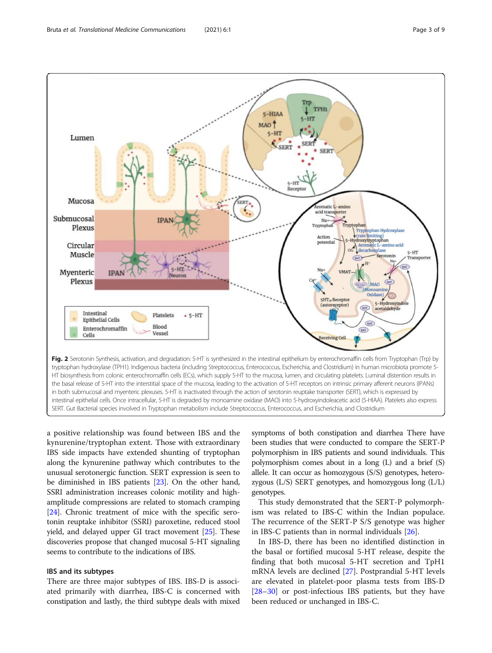<span id="page-2-0"></span>

a positive relationship was found between IBS and the kynurenine/tryptophan extent. Those with extraordinary IBS side impacts have extended shunting of tryptophan along the kynurenine pathway which contributes to the unusual serotonergic function. SERT expression is seen to be diminished in IBS patients [[23\]](#page-7-0). On the other hand, SSRI administration increases colonic motility and highamplitude compressions are related to stomach cramping [[24](#page-7-0)]. Chronic treatment of mice with the specific serotonin reuptake inhibitor (SSRI) paroxetine, reduced stool yield, and delayed upper GI tract movement [[25](#page-7-0)]. These discoveries propose that changed mucosal 5-HT signaling seems to contribute to the indications of IBS.

# IBS and its subtypes

There are three major subtypes of IBS. IBS-D is associated primarily with diarrhea, IBS-C is concerned with constipation and lastly, the third subtype deals with mixed symptoms of both constipation and diarrhea There have been studies that were conducted to compare the SERT-P polymorphism in IBS patients and sound individuals. This polymorphism comes about in a long (L) and a brief (S) allele. It can occur as homozygous (S/S) genotypes, heterozygous (L/S) SERT genotypes, and homozygous long (L/L) genotypes.

This study demonstrated that the SERT-P polymorphism was related to IBS-C within the Indian populace. The recurrence of the SERT-P S/S genotype was higher in IBS-C patients than in normal individuals [[26](#page-7-0)].

In IBS-D, there has been no identified distinction in the basal or fortified mucosal 5-HT release, despite the finding that both mucosal 5-HT secretion and TpH1 mRNA levels are declined [\[27\]](#page-7-0). Postprandial 5-HT levels are elevated in platelet-poor plasma tests from IBS-D [[28](#page-7-0)–[30](#page-7-0)] or post-infectious IBS patients, but they have been reduced or unchanged in IBS-C.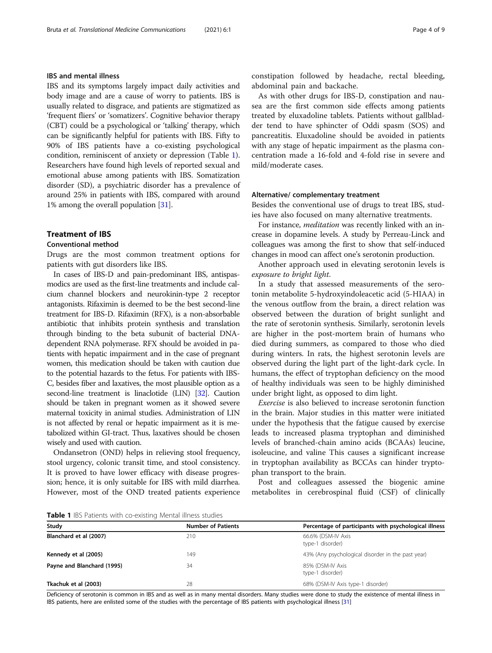### IBS and mental illness

IBS and its symptoms largely impact daily activities and body image and are a cause of worry to patients. IBS is usually related to disgrace, and patients are stigmatized as 'frequent fliers' or 'somatizers'. Cognitive behavior therapy (CBT) could be a psychological or 'talking' therapy, which can be significantly helpful for patients with IBS. Fifty to 90% of IBS patients have a co-existing psychological condition, reminiscent of anxiety or depression (Table 1). Researchers have found high levels of reported sexual and emotional abuse among patients with IBS. Somatization disorder (SD), a psychiatric disorder has a prevalence of around 25% in patients with IBS, compared with around 1% among the overall population [\[31\]](#page-7-0).

# Treatment of IBS

#### Conventional method

Drugs are the most common treatment options for patients with gut disorders like IBS.

In cases of IBS-D and pain-predominant IBS, antispasmodics are used as the first-line treatments and include calcium channel blockers and neurokinin-type 2 receptor antagonists. Rifaximin is deemed to be the best second-line treatment for IBS-D. Rifaximin (RFX), is a non-absorbable antibiotic that inhibits protein synthesis and translation through binding to the beta subunit of bacterial DNAdependent RNA polymerase. RFX should be avoided in patients with hepatic impairment and in the case of pregnant women, this medication should be taken with caution due to the potential hazards to the fetus. For patients with IBS-C, besides fiber and laxatives, the most plausible option as a second-line treatment is linaclotide (LIN) [\[32](#page-7-0)]. Caution should be taken in pregnant women as it showed severe maternal toxicity in animal studies. Administration of LIN is not affected by renal or hepatic impairment as it is metabolized within GI-tract. Thus, laxatives should be chosen wisely and used with caution.

Ondansetron (OND) helps in relieving stool frequency, stool urgency, colonic transit time, and stool consistency. It is proved to have lower efficacy with disease progression; hence, it is only suitable for IBS with mild diarrhea. However, most of the OND treated patients experience constipation followed by headache, rectal bleeding, abdominal pain and backache.

As with other drugs for IBS-D, constipation and nausea are the first common side effects among patients treated by eluxadoline tablets. Patients without gallbladder tend to have sphincter of Oddi spasm (SOS) and pancreatitis. Eluxadoline should be avoided in patients with any stage of hepatic impairment as the plasma concentration made a 16-fold and 4-fold rise in severe and mild/moderate cases.

#### Alternative/ complementary treatment

Besides the conventional use of drugs to treat IBS, studies have also focused on many alternative treatments.

For instance, *meditation* was recently linked with an increase in dopamine levels. A study by Perreau-Linck and colleagues was among the first to show that self-induced changes in mood can affect one's serotonin production.

Another approach used in elevating serotonin levels is exposure to bright light.

In a study that assessed measurements of the serotonin metabolite 5-hydroxyindoleacetic acid (5-HIAA) in the venous outflow from the brain, a direct relation was observed between the duration of bright sunlight and the rate of serotonin synthesis. Similarly, serotonin levels are higher in the post-mortem brain of humans who died during summers, as compared to those who died during winters. In rats, the highest serotonin levels are observed during the light part of the light-dark cycle. In humans, the effect of tryptophan deficiency on the mood of healthy individuals was seen to be highly diminished under bright light, as opposed to dim light.

Exercise is also believed to increase serotonin function in the brain. Major studies in this matter were initiated under the hypothesis that the fatigue caused by exercise leads to increased plasma tryptophan and diminished levels of branched-chain amino acids (BCAAs) leucine, isoleucine, and valine This causes a significant increase in tryptophan availability as BCCAs can hinder tryptophan transport to the brain.

Post and colleagues assessed the biogenic amine metabolites in cerebrospinal fluid (CSF) of clinically

Table 1 IBS Patients with co-existing Mental illness studies

| <b>TWING I</b> TOO F QUEFILO WILLE CO. CADEFINING IWICH IIITICOD DEQUICO |                           |                                                       |  |  |
|--------------------------------------------------------------------------|---------------------------|-------------------------------------------------------|--|--|
| Study                                                                    | <b>Number of Patients</b> | Percentage of participants with psychological illness |  |  |
| Blanchard et al (2007)                                                   | 210                       | 66.6% (DSM-IV Axis<br>type-1 disorder)                |  |  |
| Kennedy et al (2005)                                                     | 149                       | 43% (Any psychological disorder in the past year)     |  |  |
| Payne and Blanchard (1995)                                               | 34                        | 85% (DSM-IV Axis<br>type-1 disorder)                  |  |  |
| Tkachuk et al (2003)                                                     | 28                        | 68% (DSM-IV Axis type-1 disorder)                     |  |  |

Deficiency of serotonin is common in IBS and as well as in many mental disorders. Many studies were done to study the existence of mental illness in IBS patients, here are enlisted some of the studies with the percentage of IBS patients with psychological illness [[31](#page-7-0)]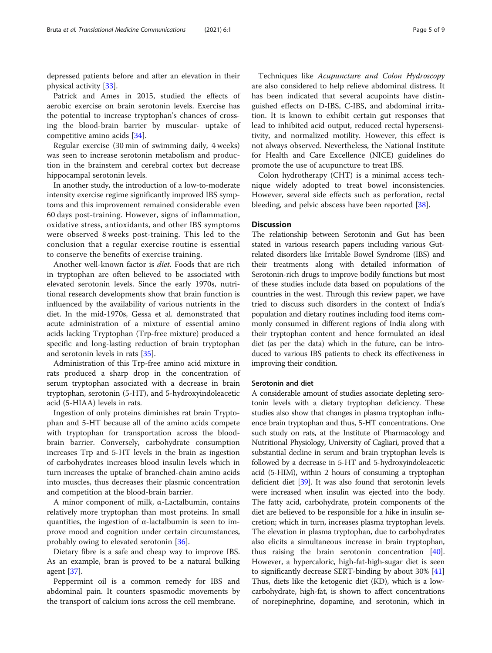depressed patients before and after an elevation in their physical activity [[33](#page-7-0)].

Patrick and Ames in 2015, studied the effects of aerobic exercise on brain serotonin levels. Exercise has the potential to increase tryptophan's chances of crossing the blood-brain barrier by muscular- uptake of competitive amino acids [\[34](#page-7-0)].

Regular exercise (30 min of swimming daily, 4 weeks) was seen to increase serotonin metabolism and production in the brainstem and cerebral cortex but decrease hippocampal serotonin levels.

In another study, the introduction of a low-to-moderate intensity exercise regime significantly improved IBS symptoms and this improvement remained considerable even 60 days post-training. However, signs of inflammation, oxidative stress, antioxidants, and other IBS symptoms were observed 8 weeks post-training. This led to the conclusion that a regular exercise routine is essential to conserve the benefits of exercise training.

Another well-known factor is diet. Foods that are rich in tryptophan are often believed to be associated with elevated serotonin levels. Since the early 1970s, nutritional research developments show that brain function is influenced by the availability of various nutrients in the diet. In the mid-1970s, Gessa et al. demonstrated that acute administration of a mixture of essential amino acids lacking Tryptophan (Trp-free mixture) produced a specific and long-lasting reduction of brain tryptophan and serotonin levels in rats [\[35](#page-7-0)].

Administration of this Trp-free amino acid mixture in rats produced a sharp drop in the concentration of serum tryptophan associated with a decrease in brain tryptophan, serotonin (5-HT), and 5-hydroxyindoleacetic acid (5-HIAA) levels in rats.

Ingestion of only proteins diminishes rat brain Tryptophan and 5-HT because all of the amino acids compete with tryptophan for transportation across the bloodbrain barrier. Conversely, carbohydrate consumption increases Trp and 5-HT levels in the brain as ingestion of carbohydrates increases blood insulin levels which in turn increases the uptake of branched-chain amino acids into muscles, thus decreases their plasmic concentration and competition at the blood-brain barrier.

A minor component of milk, α-Lactalbumin, contains relatively more tryptophan than most proteins. In small quantities, the ingestion of  $\alpha$ -lactalbumin is seen to improve mood and cognition under certain circumstances, probably owing to elevated serotonin [[36\]](#page-7-0).

Dietary fibre is a safe and cheap way to improve IBS. As an example, bran is proved to be a natural bulking agent [[37\]](#page-7-0).

Peppermint oil is a common remedy for IBS and abdominal pain. It counters spasmodic movements by the transport of calcium ions across the cell membrane.

Techniques like Acupuncture and Colon Hydroscopy are also considered to help relieve abdominal distress. It has been indicated that several acupoints have distinguished effects on D-IBS, C-IBS, and abdominal irritation. It is known to exhibit certain gut responses that lead to inhibited acid output, reduced rectal hypersensitivity, and normalized motility. However, this effect is not always observed. Nevertheless, the National Institute for Health and Care Excellence (NICE) guidelines do promote the use of acupuncture to treat IBS.

Colon hydrotherapy (CHT) is a minimal access technique widely adopted to treat bowel inconsistencies. However, several side effects such as perforation, rectal bleeding, and pelvic abscess have been reported [\[38\]](#page-7-0).

# **Discussion**

The relationship between Serotonin and Gut has been stated in various research papers including various Gutrelated disorders like Irritable Bowel Syndrome (IBS) and their treatments along with detailed information of Serotonin-rich drugs to improve bodily functions but most of these studies include data based on populations of the countries in the west. Through this review paper, we have tried to discuss such disorders in the context of India's population and dietary routines including food items commonly consumed in different regions of India along with their tryptophan content and hence formulated an ideal diet (as per the data) which in the future, can be introduced to various IBS patients to check its effectiveness in improving their condition.

#### Serotonin and diet

A considerable amount of studies associate depleting serotonin levels with a dietary tryptophan deficiency. These studies also show that changes in plasma tryptophan influence brain tryptophan and thus, 5-HT concentrations. One such study on rats, at the Institute of Pharmacology and Nutritional Physiology, University of Cagliari, proved that a substantial decline in serum and brain tryptophan levels is followed by a decrease in 5-HT and 5-hydroxyindoleacetic acid (5-HIM), within 2 hours of consuming a tryptophan deficient diet [[39](#page-7-0)]. It was also found that serotonin levels were increased when insulin was ejected into the body. The fatty acid, carbohydrate, protein components of the diet are believed to be responsible for a hike in insulin secretion; which in turn, increases plasma tryptophan levels. The elevation in plasma tryptophan, due to carbohydrates also elicits a simultaneous increase in brain tryptophan, thus raising the brain serotonin concentration [[40](#page-7-0)]. However, a hypercaloric, high-fat-high-sugar diet is seen to significantly decrease SERT-binding by about 30% [[41](#page-7-0)] Thus, diets like the ketogenic diet (KD), which is a lowcarbohydrate, high-fat, is shown to affect concentrations of norepinephrine, dopamine, and serotonin, which in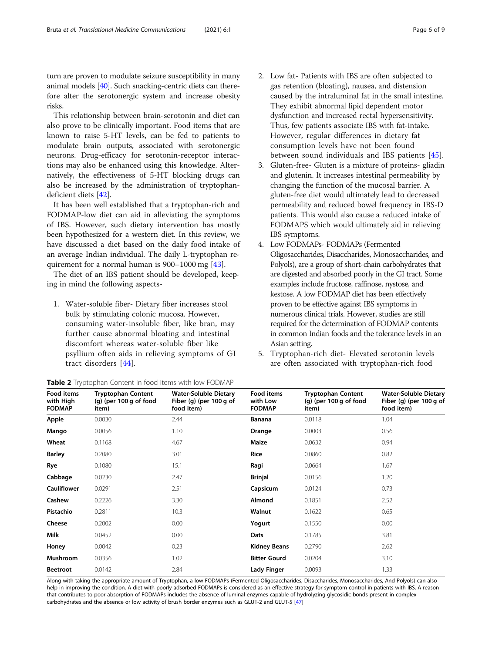<span id="page-5-0"></span>turn are proven to modulate seizure susceptibility in many animal models [[40](#page-7-0)]. Such snacking-centric diets can therefore alter the serotonergic system and increase obesity risks.

This relationship between brain-serotonin and diet can also prove to be clinically important. Food items that are known to raise 5-HT levels, can be fed to patients to modulate brain outputs, associated with serotonergic neurons. Drug-efficacy for serotonin-receptor interactions may also be enhanced using this knowledge. Alternatively, the effectiveness of 5-HT blocking drugs can also be increased by the administration of tryptophandeficient diets [[42\]](#page-7-0).

It has been well established that a tryptophan-rich and FODMAP-low diet can aid in alleviating the symptoms of IBS. However, such dietary intervention has mostly been hypothesized for a western diet. In this review, we have discussed a diet based on the daily food intake of an average Indian individual. The daily L-tryptophan requirement for a normal human is 900–1000 mg [\[43](#page-7-0)].

The diet of an IBS patient should be developed, keeping in mind the following aspects-

1. Water-soluble fiber- Dietary fiber increases stool bulk by stimulating colonic mucosa. However, consuming water-insoluble fiber, like bran, may further cause abnormal bloating and intestinal discomfort whereas water-soluble fiber like psyllium often aids in relieving symptoms of GI tract disorders [[44\]](#page-7-0).

- 2. Low fat- Patients with IBS are often subjected to gas retention (bloating), nausea, and distension caused by the intraluminal fat in the small intestine. They exhibit abnormal lipid dependent motor dysfunction and increased rectal hypersensitivity. Thus, few patients associate IBS with fat-intake. However, regular differences in dietary fat consumption levels have not been found between sound individuals and IBS patients [[45\]](#page-8-0).
- 3. Gluten-free- Gluten is a mixture of proteins- gliadin and glutenin. It increases intestinal permeability by changing the function of the mucosal barrier. A gluten-free diet would ultimately lead to decreased permeability and reduced bowel frequency in IBS-D patients. This would also cause a reduced intake of FODMAPS which would ultimately aid in relieving IBS symptoms.
- 4. Low FODMAPs- FODMAPs (Fermented Oligosaccharides, Disaccharides, Monosaccharides, and Polyols), are a group of short-chain carbohydrates that are digested and absorbed poorly in the GI tract. Some examples include fructose, raffinose, nystose, and kestose. A low FODMAP diet has been effectively proven to be effective against IBS symptoms in numerous clinical trials. However, studies are still required for the determination of FODMAP contents in common Indian foods and the tolerance levels in an Asian setting.
- 5. Tryptophan-rich diet- Elevated serotonin levels are often associated with tryptophan-rich food

| Food items<br>with High<br><b>FODMAP</b> | <b>Tryptophan Content</b><br>$(q)$ (per 100 g of food<br>item) | <b>Water-Soluble Dietary</b><br>Fiber (g) (per $100$ g of<br>food item) | Food items<br>with Low<br><b>FODMAP</b> | Tryptophan Content<br>$(q)$ (per 100 g of food<br>item) | <b>Water-Soluble Dietary</b><br>Fiber (g) (per $100 g$ of<br>food item) |
|------------------------------------------|----------------------------------------------------------------|-------------------------------------------------------------------------|-----------------------------------------|---------------------------------------------------------|-------------------------------------------------------------------------|
| Apple                                    | 0.0030                                                         | 2.44                                                                    | Banana                                  | 0.0118                                                  | 1.04                                                                    |
| Mango                                    | 0.0056                                                         | 1.10                                                                    | Orange                                  | 0.0003                                                  | 0.56                                                                    |
| Wheat                                    | 0.1168                                                         | 4.67                                                                    | Maize                                   | 0.0632                                                  | 0.94                                                                    |
| <b>Barley</b>                            | 0.2080                                                         | 3.01                                                                    | Rice                                    | 0.0860                                                  | 0.82                                                                    |
| Rye                                      | 0.1080                                                         | 15.1                                                                    | Ragi                                    | 0.0664                                                  | 1.67                                                                    |
| Cabbage                                  | 0.0230                                                         | 2.47                                                                    | <b>Brinjal</b>                          | 0.0156                                                  | 1.20                                                                    |
| <b>Cauliflower</b>                       | 0.0291                                                         | 2.51                                                                    | Capsicum                                | 0.0124                                                  | 0.73                                                                    |
| Cashew                                   | 0.2226                                                         | 3.30                                                                    | Almond                                  | 0.1851                                                  | 2.52                                                                    |
| Pistachio                                | 0.2811                                                         | 10.3                                                                    | Walnut                                  | 0.1622                                                  | 0.65                                                                    |
| Cheese                                   | 0.2002                                                         | 0.00                                                                    | Yogurt                                  | 0.1550                                                  | 0.00                                                                    |
| Milk                                     | 0.0452                                                         | 0.00                                                                    | Oats                                    | 0.1785                                                  | 3.81                                                                    |
| Honey                                    | 0.0042                                                         | 0.23                                                                    | <b>Kidney Beans</b>                     | 0.2790                                                  | 2.62                                                                    |
| Mushroom                                 | 0.0356                                                         | 1.02                                                                    | <b>Bitter Gourd</b>                     | 0.0204                                                  | 3.10                                                                    |
| <b>Beetroot</b>                          | 0.0142                                                         | 2.84                                                                    | Lady Finger                             | 0.0093                                                  | 1.33                                                                    |

Along with taking the appropriate amount of Tryptophan, a low FODMAPs (Fermented Oligosaccharides, Disaccharides, Monosaccharides, And Polyols) can also help in improving the condition. A diet with poorly adsorbed FODMAPs is considered as an effective strategy for symptom control in patients with IBS. A reason that contributes to poor absorption of FODMAPs includes the absence of luminal enzymes capable of hydrolyzing glycosidic bonds present in complex carbohydrates and the absence or low activity of brush border enzymes such as GLUT-2 and GLUT-5 [\[47](#page-8-0)]

| Table 2 Tryptophan Content in food items with low FODMAP |  |  |  |  |
|----------------------------------------------------------|--|--|--|--|
|----------------------------------------------------------|--|--|--|--|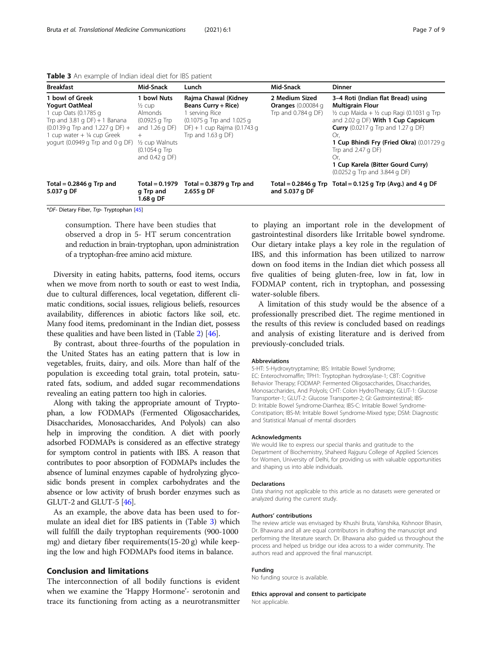| Table 3 An example of Indian ideal diet for IBS patient |  |  |  |  |  |
|---------------------------------------------------------|--|--|--|--|--|
|---------------------------------------------------------|--|--|--|--|--|

| <b>Breakfast</b>                                                                                                                                                                                                                                                 | Mid-Snack                                                                                                                                            | Lunch                                                                                                                                                  | Mid-Snack                                                            | <b>Dinner</b>                                                                                                                                                                                                                                                                                                                                                              |
|------------------------------------------------------------------------------------------------------------------------------------------------------------------------------------------------------------------------------------------------------------------|------------------------------------------------------------------------------------------------------------------------------------------------------|--------------------------------------------------------------------------------------------------------------------------------------------------------|----------------------------------------------------------------------|----------------------------------------------------------------------------------------------------------------------------------------------------------------------------------------------------------------------------------------------------------------------------------------------------------------------------------------------------------------------------|
| 1 bowl of Greek<br><b>Yogurt OatMeal</b><br>1 cup Oats (0.1785 g<br>Trp and $3.81$ g DF) + 1 Banana<br>$(0.0139 \text{ q} \text{ Trp} \text{ and } 1.227 \text{ q} \text{ DF}) +$<br>1 cup water $+$ $\frac{1}{4}$ cup Greek<br>yogurt (0.0949 g Trp and 0 g DF) | 1 bowl Nuts<br>$\frac{1}{2}$ cup<br>Almonds<br>$(0.0925 \text{ g Trp})$<br>and $1.26$ g DF)<br>1/2 cup Walnuts<br>$(0.1054q$ Trp<br>and $0.42$ q DF) | Rajma Chawal (Kidney<br><b>Beans Curry + Rice)</b><br>serving Rice<br>(0.1075 g Trp and 1.025 g<br>DF) + 1 cup Rajma (0.1743 g<br>Trp and $1.63$ g DF) | 2 Medium Sized<br><b>Oranges</b> $(0.00084$ g<br>Trp and 0.784 g DF) | 3-4 Roti (Indian flat Bread) using<br><b>Multigrain Flour</b><br>$\frac{1}{2}$ cup Maida + $\frac{1}{2}$ cup Ragi (0.1031 g Trp<br>and 2.02 g DF) With 1 Cup Capsicum<br><b>Curry</b> (0.0217 g Trp and 1.27 g DF)<br>Or,<br>1 Cup Bhindi Fry (Fried Okra) (0.01729 g<br>Trp and $2.47$ g DF)<br>Or.<br>1 Cup Karela (Bitter Gourd Curry)<br>(0.0252 g Trp and 3.844 g DF) |
| Total = $0.2846$ g Trp and<br>5.037 g DF                                                                                                                                                                                                                         | $Total = 0.1979$<br>g Trp and<br>1.68 g DF                                                                                                           | Total = $0.3879$ g Trp and<br>2.655 g DF                                                                                                               | and 5.037 g DF                                                       | Total = 0.2846 g Trp Total = 0.125 g Trp (Avg.) and 4 g DF                                                                                                                                                                                                                                                                                                                 |

\*DF- Dietary Fiber, Trp- Tryptophan [\[45](#page-8-0)]

consumption. There have been studies that observed a drop in 5- HT serum concentration and reduction in brain-tryptophan, upon administration of a tryptophan-free amino acid mixture.

Diversity in eating habits, patterns, food items, occurs when we move from north to south or east to west India, due to cultural differences, local vegetation, different climatic conditions, social issues, religious beliefs, resources availability, differences in abiotic factors like soil, etc. Many food items, predominant in the Indian diet, possess these qualities and have been listed in (Table [2\)](#page-5-0) [[46](#page-8-0)].

By contrast, about three-fourths of the population in the United States has an eating pattern that is low in vegetables, fruits, dairy, and oils. More than half of the population is exceeding total grain, total protein, saturated fats, sodium, and added sugar recommendations revealing an eating pattern too high in calories.

Along with taking the appropriate amount of Tryptophan, a low FODMAPs (Fermented Oligosaccharides, Disaccharides, Monosaccharides, And Polyols) can also help in improving the condition. A diet with poorly adsorbed FODMAPs is considered as an effective strategy for symptom control in patients with IBS. A reason that contributes to poor absorption of FODMAPs includes the absence of luminal enzymes capable of hydrolyzing glycosidic bonds present in complex carbohydrates and the absence or low activity of brush border enzymes such as GLUT-2 and GLUT-5 [[46](#page-8-0)].

As an example, the above data has been used to formulate an ideal diet for IBS patients in (Table 3) which will fulfill the daily tryptophan requirements (900-1000 mg) and dietary fiber requirements(15-20 g) while keeping the low and high FODMAPs food items in balance.

#### Conclusion and limitations

The interconnection of all bodily functions is evident when we examine the 'Happy Hormone'- serotonin and trace its functioning from acting as a neurotransmitter

to playing an important role in the development of gastrointestinal disorders like Irritable bowel syndrome. Our dietary intake plays a key role in the regulation of IBS, and this information has been utilized to narrow down on food items in the Indian diet which possess all five qualities of being gluten-free, low in fat, low in FODMAP content, rich in tryptophan, and possessing water-soluble fibers.

A limitation of this study would be the absence of a professionally prescribed diet. The regime mentioned in the results of this review is concluded based on readings and analysis of existing literature and is derived from previously-concluded trials.

#### Abbreviations

5-HT: 5-Hydroxytryptamine; IBS: Irritable Bowel Syndrome; EC: Enterochromaffin; TPH1: Tryptophan hydroxylase-1; CBT: Cognitive Behavior Therapy; FODMAP: Fermented Oligosaccharides, Disaccharides, Monosaccharides, And Polyols; CHT: Colon HydroTherapy; GLUT-1: Glucose Transporter-1; GLUT-2: Glucose Transporter-2; GI: Gastrointestinal; IBS-D: Irritable Bowel Syndrome-Diarrhea; IBS-C: Irritable Bowel Syndrome-Constipation; IBS-M: Irritable Bowel Syndrome-Mixed type; DSM: Diagnostic and Statistical Manual of mental disorders

#### Acknowledgments

We would like to express our special thanks and gratitude to the Department of Biochemistry, Shaheed Rajguru College of Applied Sciences for Women, University of Delhi, for providing us with valuable opportunities and shaping us into able individuals.

#### Declarations

Data sharing not applicable to this article as no datasets were generated or analyzed during the current study.

#### Authors' contributions

The review article was envisaged by Khushi Bruta, Vanshika, Kishnoor Bhasin, Dr. Bhawana and all are equal contributors in drafting the manuscript and performing the literature search. Dr. Bhawana also guided us throughout the process and helped us bridge our idea across to a wider community. The authors read and approved the final manuscript.

#### Funding

No funding source is available.

# Ethics approval and consent to participate

Not applicable.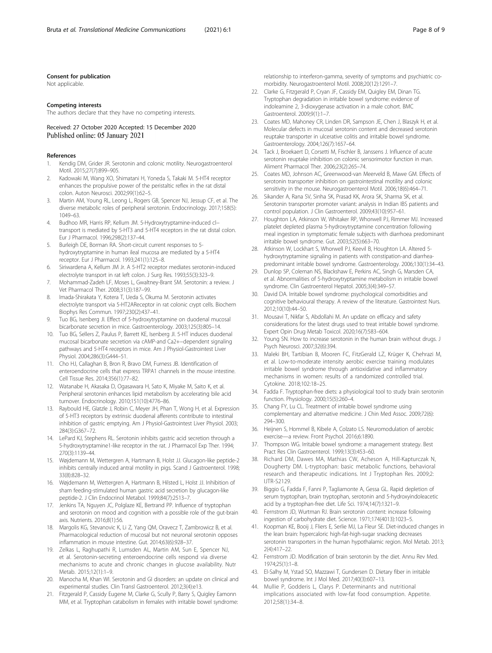#### <span id="page-7-0"></span>Consent for publication

Not applicable.

#### Competing interests

The authors declare that they have no competing interests.

Received: 27 October 2020 Accepted: 15 December 2020 Published online: 05 January 2021

#### References

- 1. Kendig DM, Grider JR. Serotonin and colonic motility. Neurogastroenterol Motil. 2015;27(7):899–905.
- 2. Kadowaki M, Wang XO, Shimatani H, Yoneda S, Takaki M. 5-HT4 receptor enhances the propulsive power of the peristaltic reflex in the rat distal colon. Auton Neurosci. 2002;99(1):62–5.
- 3. Martin AM, Young RL, Leong L, Rogers GB, Spencer NJ, Jessup CF, et al. The diverse metabolic roles of peripheral serotonin. Endocrinology. 2017;158(5): 1049–63.
- 4. Budhoo MR, Harris RP, Kellum JM. 5-Hydroxytryptamine-induced cl− transport is mediated by 5-HT3 and 5-HT4 receptors in the rat distal colon. Eur J Pharmacol. 1996;298(2):137–44.
- 5. Burleigh DE, Borman RA. Short-circuit current responses to 5 hydroxytryptamine in human ileal mucosa are mediated by a 5-HT4 receptor. Eur J Pharmacol. 1993;241(1):125–8.
- 6. Siriwardena A, Kellum JM Jr. A 5-HT2 receptor mediates serotonin-induced electrolyte transport in rat left colon. J Surg Res. 1993;55(3):323–9.
- 7. Mohammad-Zadeh LF, Moses L, Gwaltney-Brant SM. Serotonin: a review. J Vet Pharmacol Ther. 2008;31(3):187–99.
- 8. Imada-Shirakata Y, Kotera T, Ueda S, Okuma M. Serotonin activates electrolyte transport via 5-HT2AReceptor in rat colonic crypt cells. Biochem Biophys Res Commun. 1997;230(2):437–41.
- Tuo BG, Isenberg JI. Effect of 5-hydroxytryptamine on duodenal mucosal bicarbonate secretion in mice. Gastroenterology. 2003;125(3):805–14.
- 10. Tuo BG, Sellers Z, Paulus P, Barrett KE, Isenberg JI. 5-HT induces duodenal mucosal bicarbonate secretion via cAMP-and Ca2+−dependent signaling pathways and 5-HT4 receptors in mice. Am J Physiol-Gastrointest Liver Physiol. 2004;286(3):G444–51.
- 11. Cho HJ, Callaghan B, Bron R, Bravo DM, Furness JB. Identification of enteroendocrine cells that express TRPA1 channels in the mouse intestine. Cell Tissue Res. 2014;356(1):77–82.
- 12. Watanabe H, Akasaka D, Ogasawara H, Sato K, Miyake M, Saito K, et al. Peripheral serotonin enhances lipid metabolism by accelerating bile acid turnover. Endocrinology. 2010;151(10):4776–86.
- 13. Raybould HE, Glatzle J, Robin C, Meyer JH, Phan T, Wong H, et al. Expression of 5-HT3 receptors by extrinsic duodenal afferents contribute to intestinal inhibition of gastric emptying. Am J Physiol-Gastrointest Liver Physiol. 2003; 284(3):G367–72.
- 14. LePard KJ, Stephens RL. Serotonin inhibits gastric acid secretion through a 5-hydroxytryptamine1-like receptor in the rat. J Pharmacol Exp Ther. 1994; 270(3):1139–44.
- 15. Wøjdemann M, Wettergren A, Hartmann B, Holst JJ. Glucagon-like peptide-2 inhibits centrally induced antral motility in pigs. Scand J Gastroenterol. 1998; 33(8):828–32.
- 16. Wøjdemann M, Wettergren A, Hartmann B, Hilsted L, Holst JJ. Inhibition of sham feeding-stimulated human gastric acid secretion by glucagon-like peptide-2. J Clin Endocrinol Metabol. 1999;84(7):2513–7.
- 17. Jenkins TA, Nguyen JC, Polglaze KE, Bertrand PP. Influence of tryptophan and serotonin on mood and cognition with a possible role of the gut-brain axis. Nutrients. 2016;8(1):56.
- 18. Margolis KG, Stevanovic K, Li Z, Yang QM, Oravecz T, Zambrowicz B, et al. Pharmacological reduction of mucosal but not neuronal serotonin opposes inflammation in mouse intestine. Gut. 2014;63(6):928–37.
- 19. Zelkas L, Raghupathi R, Lumsden AL, Martin AM, Sun E, Spencer NJ, et al. Serotonin-secreting enteroendocrine cells respond via diverse mechanisms to acute and chronic changes in glucose availability. Nutr Metab. 2015;12(1):1–9.
- 20. Manocha M, Khan WI. Serotonin and GI disorders: an update on clinical and experimental studies. Clin Transl Gastroenterol. 2012;3(4):e13.
- 21. Fitzgerald P, Cassidy Eugene M, Clarke G, Scully P, Barry S, Quigley Eamonn MM, et al. Tryptophan catabolism in females with irritable bowel syndrome:

relationship to interferon-gamma, severity of symptoms and psychiatric comorbidity. Neurogastroenterol Motil. 2008;20(12):1291–7.

- 22. Clarke G, Fitzgerald P, Crvan JF, Cassidy EM, Ouigley EM, Dinan TG, Tryptophan degradation in irritable bowel syndrome: evidence of indoleamine 2, 3-dioxygenase activation in a male cohort. BMC Gastroenterol. 2009;9(1):1–7.
- 23. Coates MD, Mahoney CR, Linden DR, Sampson JE, Chen J, Blaszyk H, et al. Molecular defects in mucosal serotonin content and decreased serotonin reuptake transporter in ulcerative colitis and irritable bowel syndrome. Gastroenterology. 2004;126(7):1657–64.
- 24. Tack J, Broekaert D, Corsetti M, Fischler B, Janssens J. Influence of acute serotonin reuptake inhibition on colonic sensorimotor function in man. Aliment Pharmacol Ther. 2006;23(2):265–74.
- 25. Coates MD, Johnson AC, Greenwood-van Meerveld B, Mawe GM. Effects of serotonin transporter inhibition on gastrointestinal motility and colonic sensitivity in the mouse. Neurogastroenterol Motil. 2006;18(6):464–71.
- 26. Sikander A, Rana SV, Sinha SK, Prasad KK, Arora SK, Sharma SK, et al. Serotonin transporter promoter variant: analysis in Indian IBS patients and control population. J Clin Gastroenterol. 2009;43(10):957–61.
- 27. Houghton LA, Atkinson W, Whitaker RP, Whorwell PJ, Rimmer MJ. Increased platelet depleted plasma 5-hydroxytryptamine concentration following meal ingestion in symptomatic female subjects with diarrhoea predominant irritable bowel syndrome. Gut. 2003;52(5):663–70.
- 28. Atkinson W, Lockhart S, Whorwell PJ, Keevil B, Houghton LA. Altered 5 hydroxytryptamine signaling in patients with constipation-and diarrheapredominant irritable bowel syndrome. Gastroenterology. 2006;130(1):34–43.
- 29. Dunlop SP, Coleman NS, Blackshaw E, Perkins AC, Singh G, Marsden CA, et al. Abnormalities of 5-hydroxytryptamine metabolism in irritable bowel syndrome. Clin Gastroenterol Hepatol. 2005;3(4):349–57.
- 30. David DA. Irritable bowel syndrome: psychological comorbidities and cognitive behavioural therapy. A review of the literature. Gastrointest Nurs. 2012;10(10):44–50.
- 31. Mousavi T, Nikfar S, Abdollahi M. An update on efficacy and safety considerations for the latest drugs used to treat irritable bowel syndrome. Expert Opin Drug Metab Toxicol. 2020;16(7):583–604.
- Young SN. How to increase serotonin in the human brain without drugs. J Psych Neurosci. 2007;32(6):394.
- 33. Maleki BH, Tartibian B, Mooren FC, FitzGerald LZ, Krüger K, Chehrazi M, et al. Low-to-moderate intensity aerobic exercise training modulates irritable bowel syndrome through antioxidative and inflammatory mechanisms in women: results of a randomized controlled trial. Cytokine. 2018;102:18–25.
- 34. Fadda F. Tryptophan-free diets: a physiological tool to study brain serotonin function. Physiology. 2000;15(5):260–4.
- 35. Chang FY, Lu CL. Treatment of irritable bowel syndrome using complementary and alternative medicine. J Chin Med Assoc. 2009;72(6): 294–300.
- 36. Heijnen S, Hommel B, Kibele A, Colzato LS. Neuromodulation of aerobic exercise—a review. Front Psychol. 2016;6:1890.
- 37. Thompson WG. Irritable bowel syndrome: a management strategy. Best Pract Res Clin Gastroenterol. 1999;13(3):453–60.
- Richard DM, Dawes MA, Mathias CW, Acheson A, Hill-Kapturczak N, Dougherty DM. L-tryptophan: basic metabolic functions, behavioral research and therapeutic indications. Int J Tryptophan Res. 2009;2: IJTR-S2129.
- 39. Biggio G, Fadda F, Fanni P, Tagliamonte A, Gessa GL. Rapid depletion of serum tryptophan, brain tryptophan, serotonin and 5-hydroxyindoleacetic acid by a tryptophan-free diet. Life Sci. 1974;14(7):1321–9.
- 40. Fernstrom JD, Wurtman RJ. Brain serotonin content: increase following ingestion of carbohydrate diet. Science. 1971;174(4013):1023–5.
- 41. Koopman KE, Booij J, Fliers E, Serlie MJ, La Fleur SE. Diet-induced changes in the lean brain: hypercaloric high-fat-high-sugar snacking decreases serotonin transporters in the human hypothalamic region. Mol Metab. 2013; 2(4):417–22.
- 42. Fernstrom JD. Modification of brain serotonin by the diet. Annu Rev Med. 1974;25(1):1–8.
- 43. El-Salhy M, Ystad SO, Mazzawi T, Gundersen D. Dietary fiber in irritable bowel syndrome. Int J Mol Med. 2017;40(3):607–13.
- 44. Mullie P, Godderis L, Clarys P. Determinants and nutritional implications associated with low-fat food consumption. Appetite. 2012;58(1):34–8.